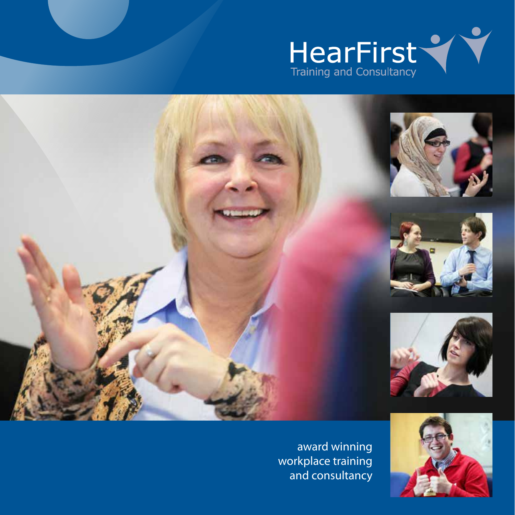





award winning workplace training and consultancy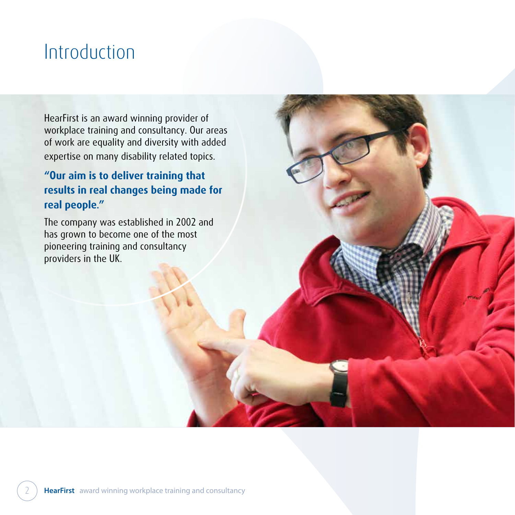#### Introduction

HearFirst is an award winning provider of workplace training and consultancy. Our areas of work are equality and diversity with added expertise on many disability related topics.

#### **"Our aim is to deliver training that results in real changes being made for real people."**

The company was established in 2002 and has grown to become one of the most pioneering training and consultancy providers in the UK.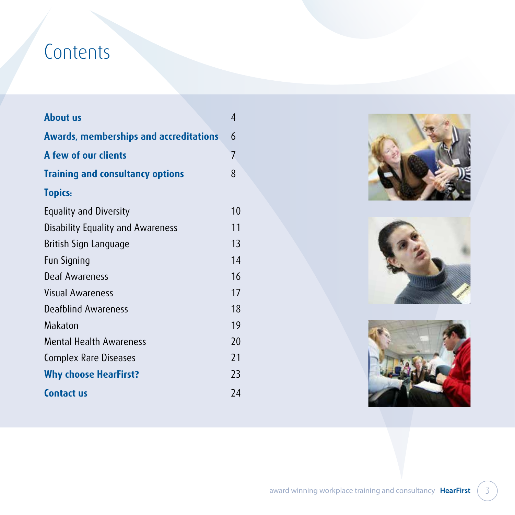## **Contents**

| <b>About us</b>                               | 4  |
|-----------------------------------------------|----|
| <b>Awards, memberships and accreditations</b> | 6  |
| A few of our clients                          | 7  |
| <b>Training and consultancy options</b>       | 8  |
| <b>Topics:</b>                                |    |
| <b>Equality and Diversity</b>                 | 10 |
| Disability Equality and Awareness             | 11 |
| British Sign Language                         | 13 |
| Fun Signing                                   | 14 |
| <b>Deaf Awareness</b>                         | 16 |
| <b>Visual Awareness</b>                       | 17 |
| Deafblind Awareness                           | 18 |
| Makaton                                       | 19 |
| <b>Mental Health Awareness</b>                | 20 |
| <b>Complex Rare Diseases</b>                  | 21 |
| <b>Why choose HearFirst?</b>                  | 23 |
| Contact us                                    | 24 |





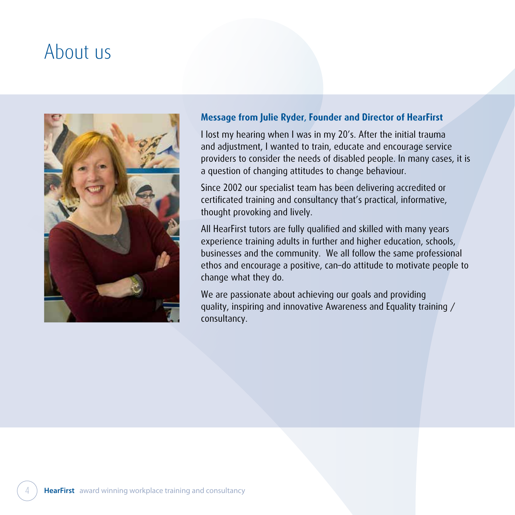#### About us



#### **Message from Julie Ryder, Founder and Director of HearFirst**

I lost my hearing when I was in my 20's. After the initial trauma and adjustment, I wanted to train, educate and encourage service providers to consider the needs of disabled people. In many cases, it is a question of changing attitudes to change behaviour.

Since 2002 our specialist team has been delivering accredited or certificated training and consultancy that's practical, informative, thought provoking and lively.

All HearFirst tutors are fully qualified and skilled with many years experience training adults in further and higher education, schools, businesses and the community. We all follow the same professional ethos and encourage a positive, can–do attitude to motivate people to change what they do.

We are passionate about achieving our goals and providing quality, inspiring and innovative Awareness and Equality training / consultancy.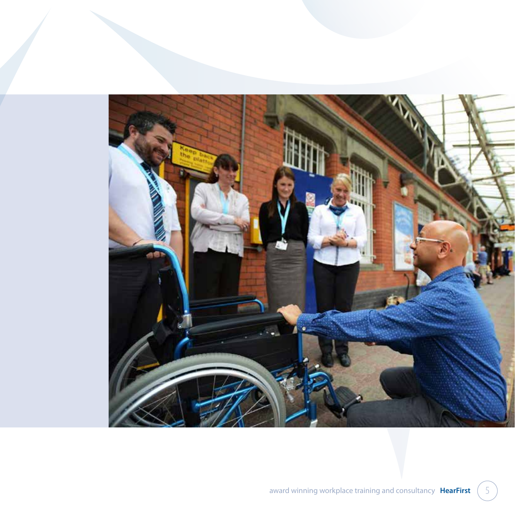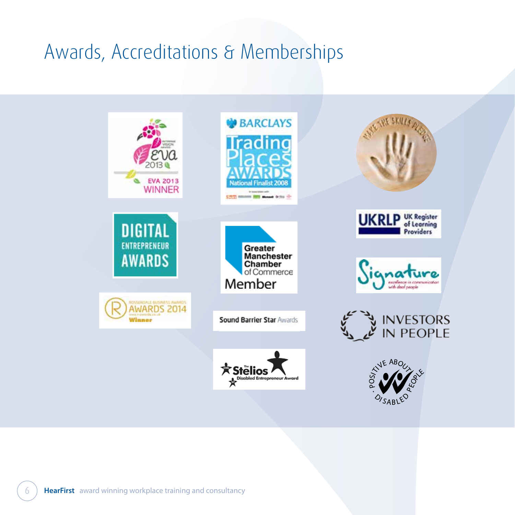## Awards, Accreditations & Memberships

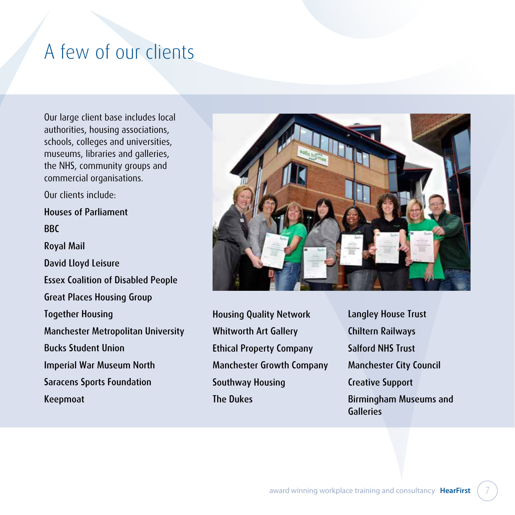### A few of our clients

Our large client base includes local authorities, housing associations, schools, colleges and universities, museums, libraries and galleries, the NHS, community groups and commercial organisations.

Our clients include:

Houses of Parliament BBC Royal Mail David Lloyd Leisure Essex Coalition of Disabled People Great Places Housing Group Together Housing Manchester Metropolitan University Bucks Student Union Imperial War Museum North Saracens Sports Foundation Keepmoat



Housing Quality Network Whitworth Art Gallery Ethical Property Company Manchester Growth Company Southway Housing The Dukes

Langley House Trust Chiltern Railways Salford NHS Trust Manchester City Council Creative Support Birmingham Museums and Galleries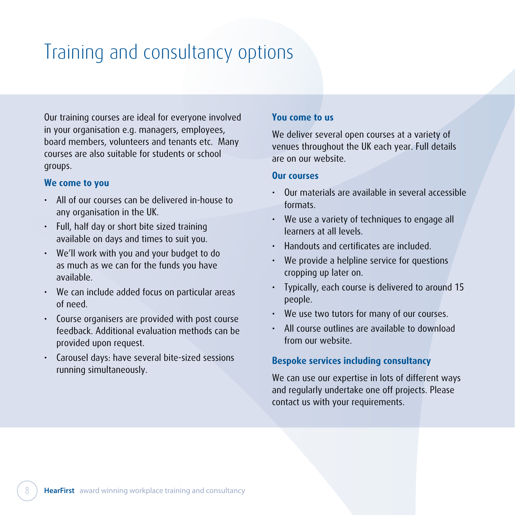## Training and consultancy options

Our training courses are ideal for everyone involved in your organisation e.g. managers, employees, board members, volunteers and tenants etc. Many courses are also suitable for students or school groups.

#### **We come to you**

- All of our courses can be delivered in-house to any organisation in the UK.
- Full, half day or short bite sized training available on days and times to suit you.
- We'll work with you and your budget to do as much as we can for the funds you have available.
- We can include added focus on particular areas of need.
- Course organisers are provided with post course feedback. Additional evaluation methods can be provided upon request.
- Carousel days: have several bite-sized sessions running simultaneously.

#### **You come to us**

We deliver several open courses at a variety of venues throughout the UK each year. Full details are on our website.

#### **Our courses**

- Our materials are available in several accessible formats.
- We use a variety of techniques to engage all learners at all levels.
- Handouts and certificates are included.
- We provide a helpline service for questions cropping up later on.
- Typically, each course is delivered to around 15 people.
- We use two tutors for many of our courses.
- All course outlines are available to download from our website.

#### **Bespoke services including consultancy**

We can use our expertise in lots of different ways and regularly undertake one off projects. Please contact us with your requirements.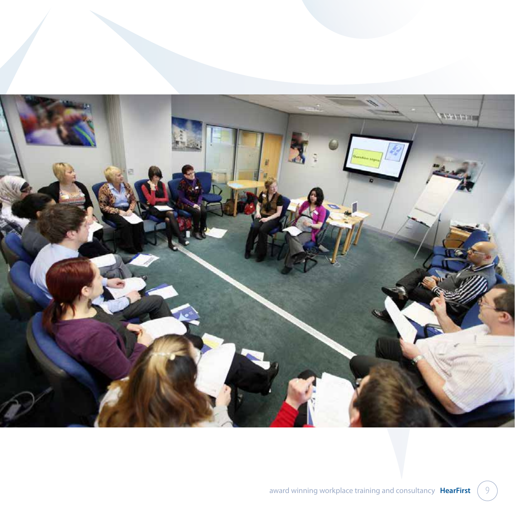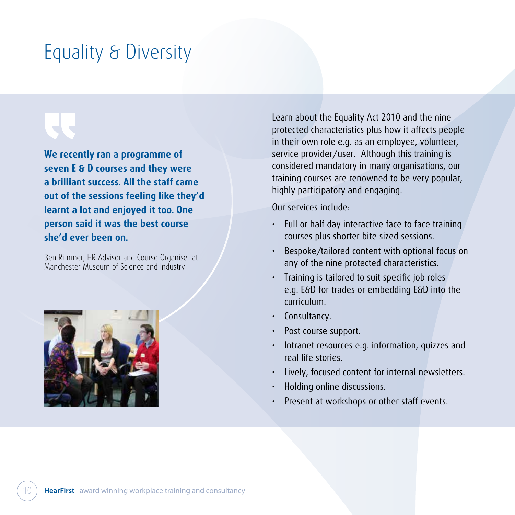#### Equality & Diversity

# <u>U</u>

**We recently ran a programme of seven E & D courses and they were a brilliant success. All the staff came out of the sessions feeling like they'd learnt a lot and enjoyed it too. One person said it was the best course she'd ever been on.**

Ben Rimmer, HR Advisor and Course Organiser at Manchester Museum of Science and Industry



Learn about the Equality Act 2010 and the nine protected characteristics plus how it affects people in their own role e.g. as an employee, volunteer, service provider/user. Although this training is considered mandatory in many organisations, our training courses are renowned to be very popular, highly participatory and engaging.

- Full or half day interactive face to face training courses plus shorter bite sized sessions.
- Bespoke/tailored content with optional focus on any of the nine protected characteristics.
- Training is tailored to suit specific job roles e.g. E&D for trades or embedding E&D into the curriculum.
- Consultancy.
- Post course support.
- Intranet resources e.g. information, quizzes and real life stories.
- Lively, focused content for internal newsletters.
- Holding online discussions.
- Present at workshops or other staff events.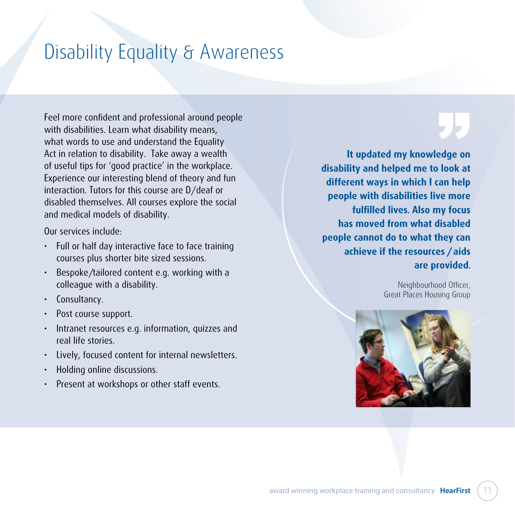## Disability Equality & Awareness

Feel more confident and professional around people with disabilities. Learn what disability means, what words to use and understand the Equality Act in relation to disability. Take away a wealth of useful tips for 'good practice' in the workplace. Experience our interesting blend of theory and fun interaction. Tutors for this course are D/deaf or disabled themselves. All courses explore the social and medical models of disability.

Our services include:

- Full or half day interactive face to face training courses plus shorter bite sized sessions.
- Bespoke/tailored content e.g. working with a colleague with a disability.
- Consultancy.
- Post course support.
- Intranet resources e.g. information, quizzes and real life stories.
- Lively, focused content for internal newsletters.
- Holding online discussions.
- Present at workshops or other staff events.

**It updated my knowledge on disability and helped me to look at different ways in which I can help people with disabilities live more fulfilled lives. Also my focus has moved from what disabled people cannot do to what they can achieve if the resources / aids are provided.**

> Neighbourhood Officer, Great Places Housing Group

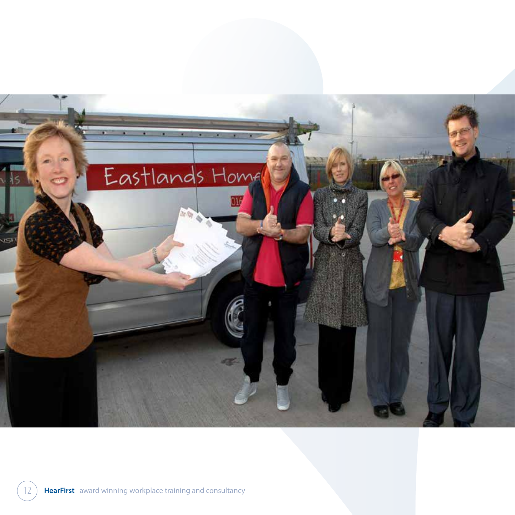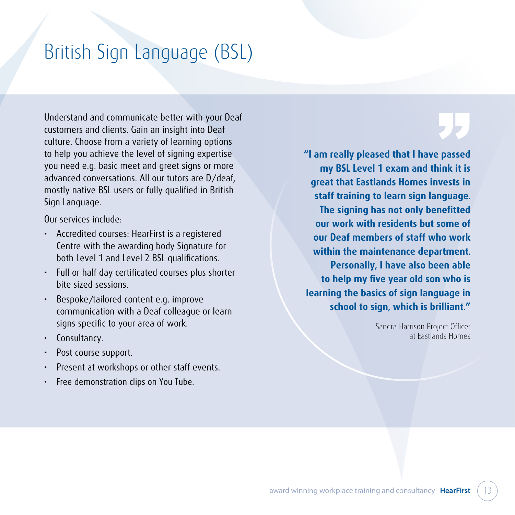## British Sign Language (BSL)

Understand and communicate better with your Deaf customers and clients. Gain an insight into Deaf culture. Choose from a variety of learning options to help you achieve the level of signing expertise you need e.g. basic meet and greet signs or more advanced conversations. All our tutors are D/deaf, mostly native BSL users or fully qualified in British Sign Language.

Our services include:

- Accredited courses: HearFirst is a registered Centre with the awarding body Signature for both Level 1 and Level 2 BSL qualifications.
- Full or half day certificated courses plus shorter bite sized sessions.
- Bespoke/tailored content e.g. improve communication with a Deaf colleague or learn signs specific to your area of work.
- Consultancy.
- Post course support.
- Present at workshops or other staff events.
- Free demonstration clips on You Tube.

# **1988**<br>Passed<br>Nink it is

**"I am really pleased that I have passed my BSL Level 1 exam and think it is great that Eastlands Homes invests in staff training to learn sign language. The signing has not only benefitted our work with residents but some of our Deaf members of staff who work within the maintenance department. Personally, I have also been able to help my five year old son who is learning the basics of sign language in school to sign, which is brilliant."** 

> Sandra Harrison Project Officer at Eastlands Homes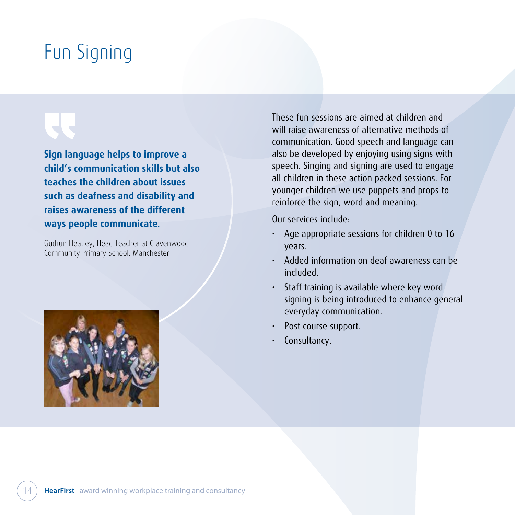## Fun Signing

# <u>U</u>

**Sign language helps to improve a child's communication skills but also teaches the children about issues such as deafness and disability and raises awareness of the different ways people communicate.** 

Gudrun Heatley, Head Teacher at Cravenwood Community Primary School, Manchester



These fun sessions are aimed at children and will raise awareness of alternative methods of communication. Good speech and language can also be developed by enjoying using signs with speech. Singing and signing are used to engage all children in these action packed sessions. For younger children we use puppets and props to reinforce the sign, word and meaning.

- Age appropriate sessions for children 0 to 16 years.
- Added information on deaf awareness can be included.
- Staff training is available where key word signing is being introduced to enhance general everyday communication.
- Post course support.
- Consultancy.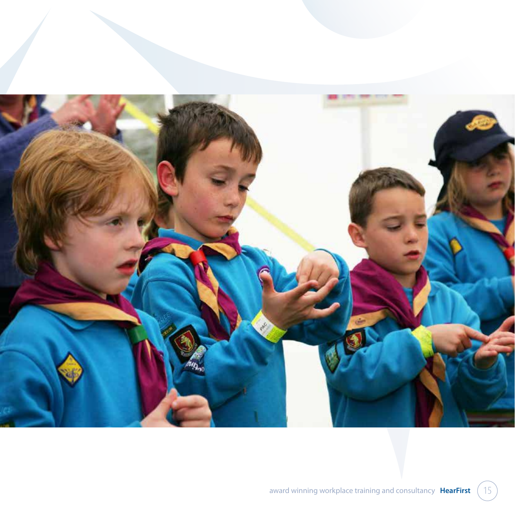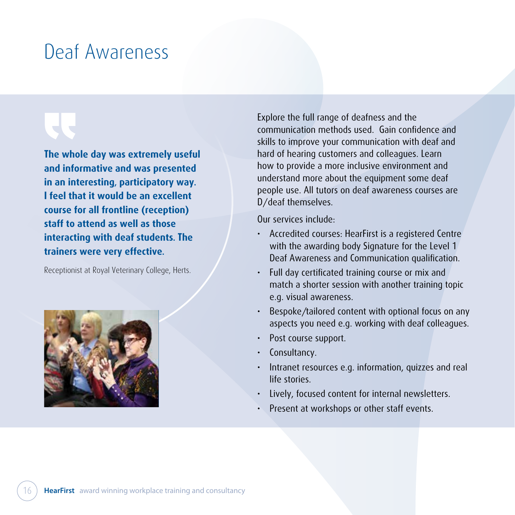### Deaf Awareness

## <u>U</u>

**The whole day was extremely useful and informative and was presented in an interesting, participatory way. I feel that it would be an excellent course for all frontline (reception) staff to attend as well as those interacting with deaf students. The trainers were very effective.**

Receptionist at Royal Veterinary College, Herts.



Explore the full range of deafness and the communication methods used. Gain confidence and skills to improve your communication with deaf and hard of hearing customers and colleagues. Learn how to provide a more inclusive environment and understand more about the equipment some deaf people use. All tutors on deaf awareness courses are D/deaf themselves.

- Accredited courses: HearFirst is a registered Centre with the awarding body Signature for the Level 1 Deaf Awareness and Communication qualification.
- Full day certificated training course or mix and match a shorter session with another training topic e.g. visual awareness.
- Bespoke/tailored content with optional focus on any aspects you need e.g. working with deaf colleagues.
- Post course support.
- Consultancy.
- Intranet resources e.g. information, quizzes and real life stories.
- Lively, focused content for internal newsletters.
- Present at workshops or other staff events.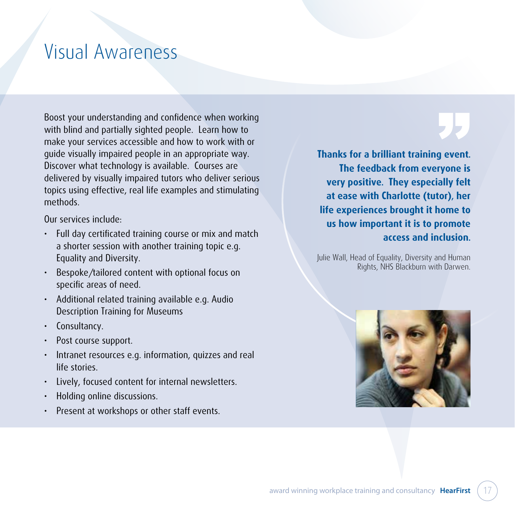#### Visual Awareness

Boost your understanding and confidence when working with blind and partially sighted people. Learn how to make your services accessible and how to work with or guide visually impaired people in an appropriate way. Discover what technology is available. Courses are delivered by visually impaired tutors who deliver serious topics using effective, real life examples and stimulating methods.

Our services include:

- Full day certificated training course or mix and match a shorter session with another training topic e.g. Equality and Diversity.
- Bespoke/ tailored content with optional focus on specific areas of need.
- Additional related training available e.g. Audio Description Training for Museums
- Consultancy.
- Post course support.
- Intranet resources e.g. information, quizzes and real life stories.
- Lively, focused content for internal newsletters.
- Holding online discussions.
- Present at workshops or other staff events.

## **Thanks for a brilliant training event. The feedback from everyone is<br>
The feedback from everyone is very positive. They especially felt at ease with Charlotte (tutor), her**

**life experiences brought it home to us how important it is to promote access and inclusion.**

Julie Wall, Head of Equality, Diversity and Human Rights, NHS Blackburn with Darwen.

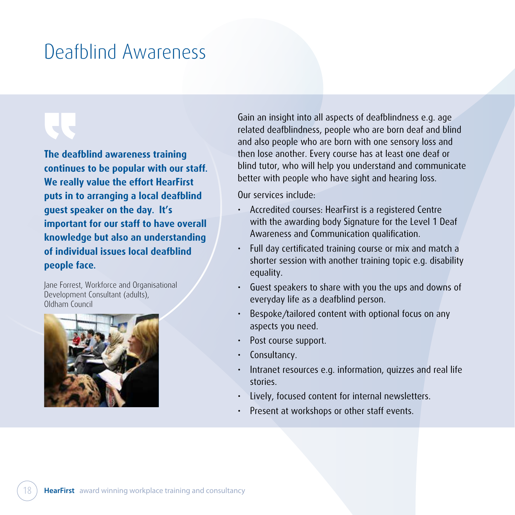#### Deafblind Awareness

# <u>U</u>

**The deafblind awareness training continues to be popular with our staff. We really value the effort HearFirst puts in to arranging a local deafblind guest speaker on the day. It's important for our staff to have overall knowledge but also an understanding of individual issues local deafblind people face.**

Jane Forrest, Workforce and Organisational Development Consultant (adults), Oldham Council



Gain an insight into all aspects of deafblindness e.g. age related deafblindness, people who are born deaf and blind and also people who are born with one sensory loss and then lose another. Every course has at least one deaf or blind tutor, who will help you understand and communicate better with people who have sight and hearing loss.

- Accredited courses: HearFirst is a registered Centre with the awarding body Signature for the Level 1 Deaf Awareness and Communication qualification.
- Full day certificated training course or mix and match a shorter session with another training topic e.g. disability equality.
- Guest speakers to share with you the ups and downs of everyday life as a deafblind person.
- Bespoke/tailored content with optional focus on any aspects you need.
- Post course support.
- Consultancy.
- Intranet resources e.g. information, quizzes and real life stories.
- Lively, focused content for internal newsletters.
- Present at workshops or other staff events.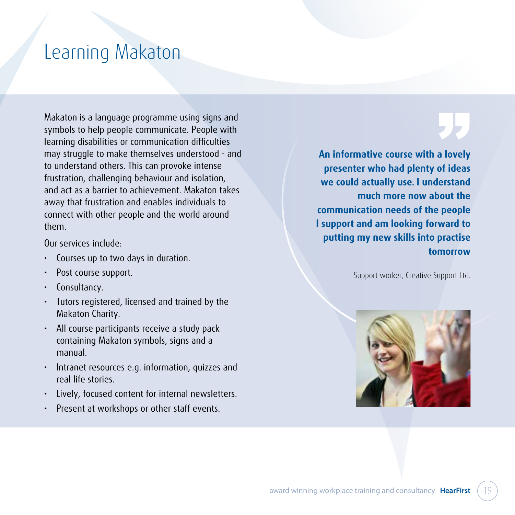#### Learning Makaton

Makaton is a language programme using signs and symbols to help people communicate. People with learning disabilities or communication difficulties may struggle to make themselves understood - and to understand others. This can provoke intense frustration, challenging behaviour and isolation, and act as a barrier to achievement. Makaton takes away that frustration and enables individuals to connect with other people and the world around them.

Our services include:

- Courses up to two days in duration.
- Post course support.
- Consultancy.
- Tutors registered, licensed and trained by the Makaton Charity.
- All course participants receive a study pack containing Makaton symbols, signs and a manual.
- Intranet resources e.g. information, quizzes and real life stories.
- Lively, focused content for internal newsletters.
- Present at workshops or other staff events.

# **The Search**<br>a lovely<br>of ideas

**An informative course with a lovely presenter who had plenty of ideas we could actually use. I understand much more now about the communication needs of the people I support and am looking forward to putting my new skills into practise tomorrow**

Support worker, Creative Support Ltd.

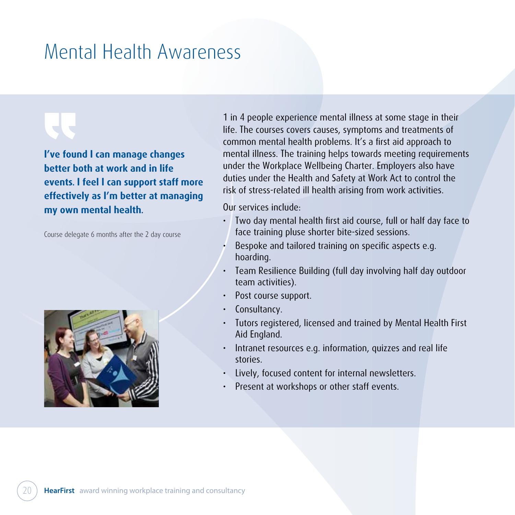### Mental Health Awareness

### **I've found I can manage changes better both at work and in life**  <u>U</u>

**events. I feel I can support staff more effectively as I'm better at managing my own mental health.** 

Course delegate 6 months after the 2 day course



1 in 4 people experience mental illness at some stage in their life. The courses covers causes, symptoms and treatments of common mental health problems. It's a first aid approach to mental illness. The training helps towards meeting requirements under the Workplace Wellbeing Charter. Employers also have duties under the Health and Safety at Work Act to control the risk of stress-related ill health arising from work activities.

- Two day mental health first aid course, full or half day face to face training pluse shorter bite-sized sessions.
- Bespoke and tailored training on specific aspects e.g. hoarding.
- Team Resilience Building (full day involving half day outdoor team activities).
- Post course support.
- Consultancy.
- Tutors registered, licensed and trained by Mental Health First Aid England.
- Intranet resources e.g. information, quizzes and real life stories.
- Lively, focused content for internal newsletters.
- Present at workshops or other staff events.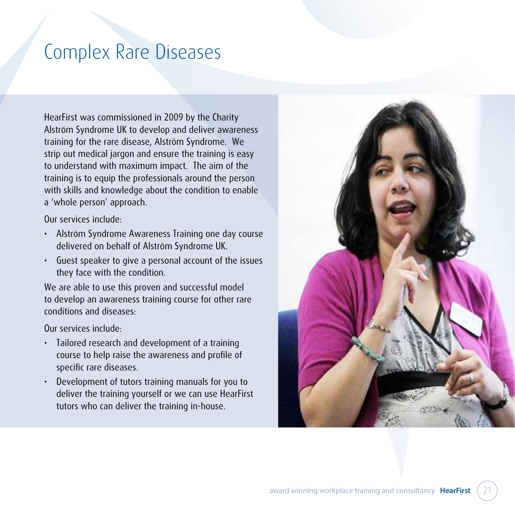#### Complex Rare Diseases

HearFirst was commissioned in 2009 by the Charity Alström Syndrome UK to develop and deliver awareness training for the rare disease, Alström Syndrome. We strip out medical jargon and ensure the training is easy to understand with maximum impact. The aim of the training is to equip the professionals around the person with skills and knowledge about the condition to enable a 'whole person' approach.

Our services include:

- Alström Syndrome Awareness Training one day course delivered on behalf of Alström Syndrome UK.
- Guest speaker to give a personal account of the issues they face with the condition.

We are able to use this proven and successful model to develop an awareness training course for other rare conditions and diseases:

- Tailored research and development of a training course to help raise the awareness and profile of specific rare diseases.
- Development of tutors training manuals for you to deliver the training yourself or we can use HearFirst tutors who can deliver the training in-house.

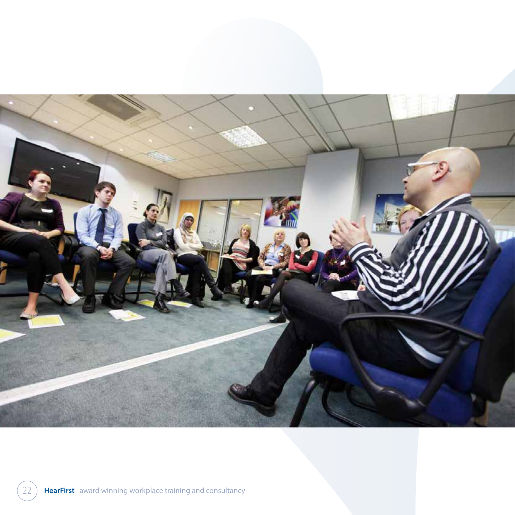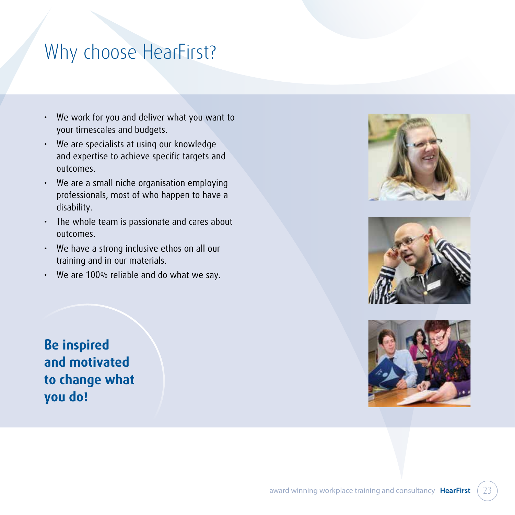### Why choose HearFirst?

- We work for you and deliver what you want to your timescales and budgets.
- We are specialists at using our knowledge and expertise to achieve specific targets and outcomes.
- We are a small niche organisation employing professionals, most of who happen to have a disability.
- The whole team is passionate and cares about outcomes.
- We have a strong inclusive ethos on all our training and in our materials.
- We are 100% reliable and do what we say.







**Be inspired and motivated to change what you do!**